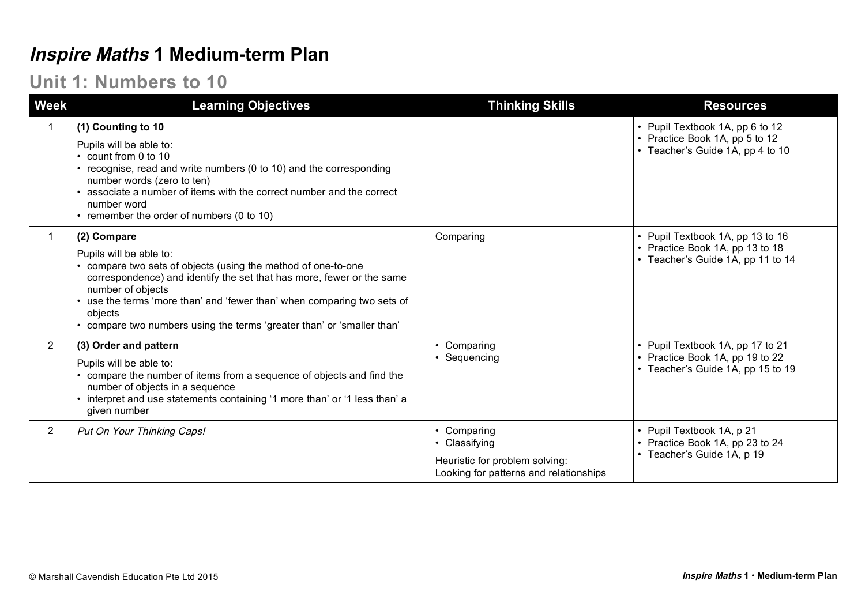## **Inspire Maths 1 Medium-term Plan**

## **Unit 1: Numbers to 10**

| <b>Week</b>    | <b>Learning Objectives</b>                                                                                                                                                                                                                                                                                                                                      | <b>Thinking Skills</b>                                                                                 | <b>Resources</b>                                                                                         |
|----------------|-----------------------------------------------------------------------------------------------------------------------------------------------------------------------------------------------------------------------------------------------------------------------------------------------------------------------------------------------------------------|--------------------------------------------------------------------------------------------------------|----------------------------------------------------------------------------------------------------------|
|                | (1) Counting to 10<br>Pupils will be able to:<br>count from 0 to 10<br>recognise, read and write numbers (0 to 10) and the corresponding<br>number words (zero to ten)<br>associate a number of items with the correct number and the correct<br>number word<br>• remember the order of numbers (0 to 10)                                                       |                                                                                                        | • Pupil Textbook 1A, pp 6 to 12<br>• Practice Book 1A, pp 5 to 12<br>• Teacher's Guide 1A, pp 4 to 10    |
|                | (2) Compare<br>Pupils will be able to:<br>compare two sets of objects (using the method of one-to-one<br>correspondence) and identify the set that has more, fewer or the same<br>number of objects<br>use the terms 'more than' and 'fewer than' when comparing two sets of<br>objects<br>compare two numbers using the terms 'greater than' or 'smaller than' | Comparing                                                                                              | • Pupil Textbook 1A, pp 13 to 16<br>• Practice Book 1A, pp 13 to 18<br>• Teacher's Guide 1A, pp 11 to 14 |
| $\overline{2}$ | (3) Order and pattern<br>Pupils will be able to:<br>compare the number of items from a sequence of objects and find the<br>number of objects in a sequence<br>interpret and use statements containing '1 more than' or '1 less than' a<br>given number                                                                                                          | Comparing<br>Sequencing                                                                                | • Pupil Textbook 1A, pp 17 to 21<br>• Practice Book 1A, pp 19 to 22<br>• Teacher's Guide 1A, pp 15 to 19 |
| $\overline{2}$ | Put On Your Thinking Caps!                                                                                                                                                                                                                                                                                                                                      | Comparing<br>• Classifying<br>Heuristic for problem solving:<br>Looking for patterns and relationships | • Pupil Textbook 1A, p 21<br>• Practice Book 1A, pp 23 to 24<br>• Teacher's Guide 1A, p 19               |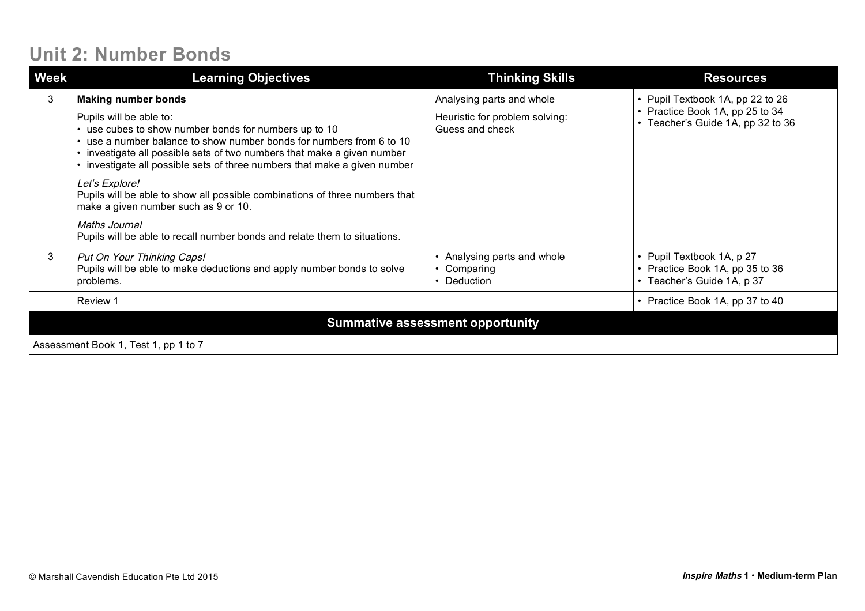## **Unit 2: Number Bonds**

| <b>Week</b>                          | <b>Learning Objectives</b>                                                                                                                                                                                                                                                                                                                 | <b>Thinking Skills</b>                                                         | <b>Resources</b>                                                                                         |
|--------------------------------------|--------------------------------------------------------------------------------------------------------------------------------------------------------------------------------------------------------------------------------------------------------------------------------------------------------------------------------------------|--------------------------------------------------------------------------------|----------------------------------------------------------------------------------------------------------|
| 3                                    | <b>Making number bonds</b><br>Pupils will be able to:<br>• use cubes to show number bonds for numbers up to 10<br>use a number balance to show number bonds for numbers from 6 to 10<br>investigate all possible sets of two numbers that make a given number<br>• investigate all possible sets of three numbers that make a given number | Analysing parts and whole<br>Heuristic for problem solving:<br>Guess and check | • Pupil Textbook 1A, pp 22 to 26<br>• Practice Book 1A, pp 25 to 34<br>• Teacher's Guide 1A, pp 32 to 36 |
|                                      | Let's Explore!<br>Pupils will be able to show all possible combinations of three numbers that<br>make a given number such as 9 or 10.<br>Maths Journal<br>Pupils will be able to recall number bonds and relate them to situations.                                                                                                        |                                                                                |                                                                                                          |
| 3                                    | Put On Your Thinking Caps!<br>Pupils will be able to make deductions and apply number bonds to solve<br>problems.                                                                                                                                                                                                                          | Analysing parts and whole<br>Comparing<br>Deduction                            | • Pupil Textbook 1A, p 27<br>• Practice Book 1A, pp 35 to 36<br>• Teacher's Guide 1A, p 37               |
|                                      | Review 1                                                                                                                                                                                                                                                                                                                                   |                                                                                | • Practice Book 1A, pp 37 to 40                                                                          |
|                                      |                                                                                                                                                                                                                                                                                                                                            | <b>Summative assessment opportunity</b>                                        |                                                                                                          |
| Assessment Book 1, Test 1, pp 1 to 7 |                                                                                                                                                                                                                                                                                                                                            |                                                                                |                                                                                                          |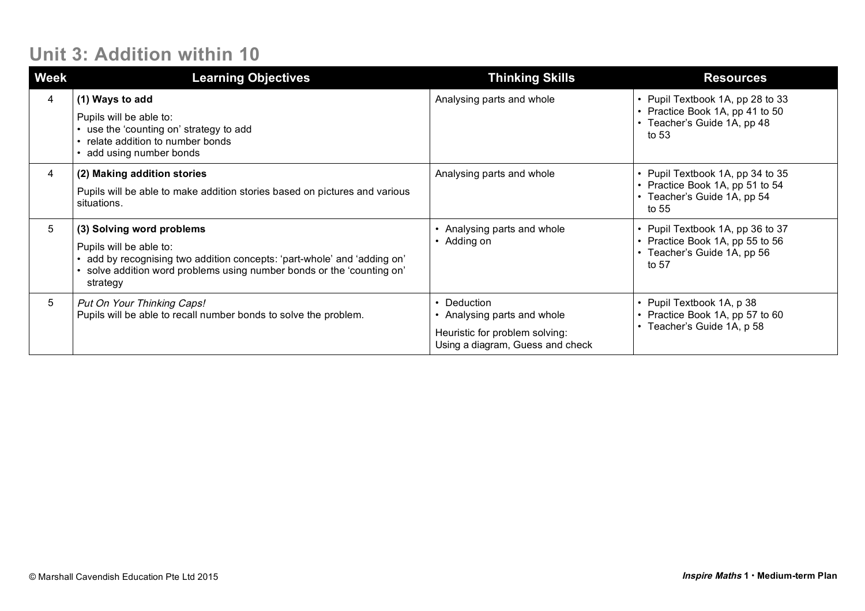## **Unit 3: Addition within 10**

| <b>Week</b> | <b>Learning Objectives</b>                                                                                                                                                                                         | <b>Thinking Skills</b>                                                                                         | <b>Resources</b>                                                                                            |
|-------------|--------------------------------------------------------------------------------------------------------------------------------------------------------------------------------------------------------------------|----------------------------------------------------------------------------------------------------------------|-------------------------------------------------------------------------------------------------------------|
| 4           | (1) Ways to add<br>Pupils will be able to:<br>use the 'counting on' strategy to add<br>relate addition to number bonds<br>add using number bonds                                                                   | Analysing parts and whole                                                                                      | • Pupil Textbook 1A, pp 28 to 33<br>• Practice Book 1A, pp 41 to 50<br>• Teacher's Guide 1A, pp 48<br>to 53 |
| 4           | (2) Making addition stories<br>Pupils will be able to make addition stories based on pictures and various<br>situations.                                                                                           | Analysing parts and whole                                                                                      | • Pupil Textbook 1A, pp 34 to 35<br>• Practice Book 1A, pp 51 to 54<br>• Teacher's Guide 1A, pp 54<br>to 55 |
| 5           | (3) Solving word problems<br>Pupils will be able to:<br>add by recognising two addition concepts: 'part-whole' and 'adding on'<br>solve addition word problems using number bonds or the 'counting on'<br>strategy | Analysing parts and whole<br>Adding on                                                                         | • Pupil Textbook 1A, pp 36 to 37<br>• Practice Book 1A, pp 55 to 56<br>• Teacher's Guide 1A, pp 56<br>to 57 |
| 5           | Put On Your Thinking Caps!<br>Pupils will be able to recall number bonds to solve the problem.                                                                                                                     | • Deduction<br>Analysing parts and whole<br>Heuristic for problem solving:<br>Using a diagram, Guess and check | • Pupil Textbook 1A, p 38<br>• Practice Book 1A, pp 57 to 60<br>• Teacher's Guide 1A, p 58                  |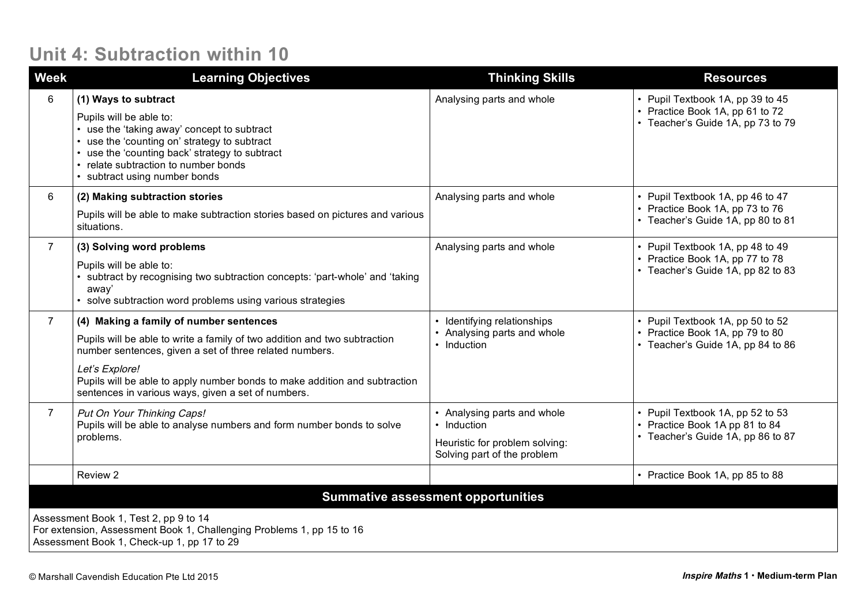### **Unit 4: Subtraction within 10**

| <b>Week</b>                                                                                                                                                  | <b>Learning Objectives</b>                                                                                                                                                                                                                                                                                                            | <b>Thinking Skills</b>                                                                                      | <b>Resources</b>                                                                                         |  |  |
|--------------------------------------------------------------------------------------------------------------------------------------------------------------|---------------------------------------------------------------------------------------------------------------------------------------------------------------------------------------------------------------------------------------------------------------------------------------------------------------------------------------|-------------------------------------------------------------------------------------------------------------|----------------------------------------------------------------------------------------------------------|--|--|
| 6                                                                                                                                                            | (1) Ways to subtract<br>Pupils will be able to:<br>• use the 'taking away' concept to subtract<br>• use the 'counting on' strategy to subtract<br>• use the 'counting back' strategy to subtract<br>• relate subtraction to number bonds<br>• subtract using number bonds                                                             | Analysing parts and whole                                                                                   | • Pupil Textbook 1A, pp 39 to 45<br>• Practice Book 1A, pp 61 to 72<br>• Teacher's Guide 1A, pp 73 to 79 |  |  |
| 6                                                                                                                                                            | (2) Making subtraction stories<br>Pupils will be able to make subtraction stories based on pictures and various<br>situations.                                                                                                                                                                                                        | Analysing parts and whole                                                                                   | • Pupil Textbook 1A, pp 46 to 47<br>• Practice Book 1A, pp 73 to 76<br>• Teacher's Guide 1A, pp 80 to 81 |  |  |
| $\overline{7}$                                                                                                                                               | (3) Solving word problems<br>Pupils will be able to:<br>subtract by recognising two subtraction concepts: 'part-whole' and 'taking<br>away'<br>• solve subtraction word problems using various strategies                                                                                                                             | Analysing parts and whole                                                                                   | • Pupil Textbook 1A, pp 48 to 49<br>• Practice Book 1A, pp 77 to 78<br>• Teacher's Guide 1A, pp 82 to 83 |  |  |
| $\overline{7}$                                                                                                                                               | (4) Making a family of number sentences<br>Pupils will be able to write a family of two addition and two subtraction<br>number sentences, given a set of three related numbers.<br>Let's Explore!<br>Pupils will be able to apply number bonds to make addition and subtraction<br>sentences in various ways, given a set of numbers. | Identifying relationships<br>Analysing parts and whole<br>• Induction                                       | • Pupil Textbook 1A, pp 50 to 52<br>• Practice Book 1A, pp 79 to 80<br>• Teacher's Guide 1A, pp 84 to 86 |  |  |
| $\overline{7}$                                                                                                                                               | Put On Your Thinking Caps!<br>Pupils will be able to analyse numbers and form number bonds to solve<br>problems.                                                                                                                                                                                                                      | • Analysing parts and whole<br>• Induction<br>Heuristic for problem solving:<br>Solving part of the problem | Pupil Textbook 1A, pp 52 to 53<br>• Practice Book 1A pp 81 to 84<br>• Teacher's Guide 1A, pp 86 to 87    |  |  |
|                                                                                                                                                              | Review 2                                                                                                                                                                                                                                                                                                                              |                                                                                                             | • Practice Book 1A, pp 85 to 88                                                                          |  |  |
|                                                                                                                                                              | <b>Summative assessment opportunities</b>                                                                                                                                                                                                                                                                                             |                                                                                                             |                                                                                                          |  |  |
| Assessment Book 1, Test 2, pp 9 to 14<br>For extension, Assessment Book 1, Challenging Problems 1, pp 15 to 16<br>Assessment Book 1, Check-up 1, pp 17 to 29 |                                                                                                                                                                                                                                                                                                                                       |                                                                                                             |                                                                                                          |  |  |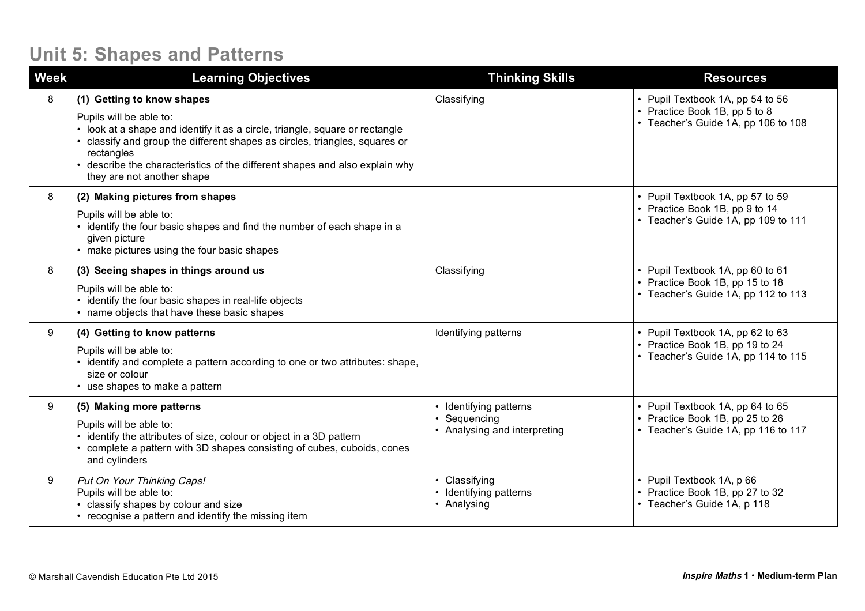## **Unit 5: Shapes and Patterns**

| <b>Week</b> | <b>Learning Objectives</b>                                                                                                                                                                                                                                                                                                                | <b>Thinking Skills</b>                                               | <b>Resources</b>                                                                                           |
|-------------|-------------------------------------------------------------------------------------------------------------------------------------------------------------------------------------------------------------------------------------------------------------------------------------------------------------------------------------------|----------------------------------------------------------------------|------------------------------------------------------------------------------------------------------------|
| 8           | (1) Getting to know shapes<br>Pupils will be able to:<br>look at a shape and identify it as a circle, triangle, square or rectangle<br>classify and group the different shapes as circles, triangles, squares or<br>rectangles<br>describe the characteristics of the different shapes and also explain why<br>they are not another shape | Classifying                                                          | • Pupil Textbook 1A, pp 54 to 56<br>• Practice Book 1B, pp 5 to 8<br>• Teacher's Guide 1A, pp 106 to 108   |
| 8           | (2) Making pictures from shapes<br>Pupils will be able to:<br>identify the four basic shapes and find the number of each shape in a<br>given picture<br>make pictures using the four basic shapes                                                                                                                                         |                                                                      | • Pupil Textbook 1A, pp 57 to 59<br>• Practice Book 1B, pp 9 to 14<br>• Teacher's Guide 1A, pp 109 to 111  |
| 8           | (3) Seeing shapes in things around us<br>Pupils will be able to:<br>identify the four basic shapes in real-life objects<br>• name objects that have these basic shapes                                                                                                                                                                    | Classifying                                                          | • Pupil Textbook 1A, pp 60 to 61<br>• Practice Book 1B, pp 15 to 18<br>• Teacher's Guide 1A, pp 112 to 113 |
| 9           | (4) Getting to know patterns<br>Pupils will be able to:<br>identify and complete a pattern according to one or two attributes: shape,<br>size or colour<br>use shapes to make a pattern                                                                                                                                                   | Identifying patterns                                                 | • Pupil Textbook 1A, pp 62 to 63<br>• Practice Book 1B, pp 19 to 24<br>• Teacher's Guide 1A, pp 114 to 115 |
| 9           | (5) Making more patterns<br>Pupils will be able to:<br>identify the attributes of size, colour or object in a 3D pattern<br>complete a pattern with 3D shapes consisting of cubes, cuboids, cones<br>and cylinders                                                                                                                        | • Identifying patterns<br>Sequencing<br>• Analysing and interpreting | • Pupil Textbook 1A, pp 64 to 65<br>• Practice Book 1B, pp 25 to 26<br>• Teacher's Guide 1A, pp 116 to 117 |
| 9           | Put On Your Thinking Caps!<br>Pupils will be able to:<br>classify shapes by colour and size<br>• recognise a pattern and identify the missing item                                                                                                                                                                                        | • Classifying<br>• Identifying patterns<br>• Analysing               | • Pupil Textbook 1A, p 66<br>• Practice Book 1B, pp 27 to 32<br>• Teacher's Guide 1A, p 118                |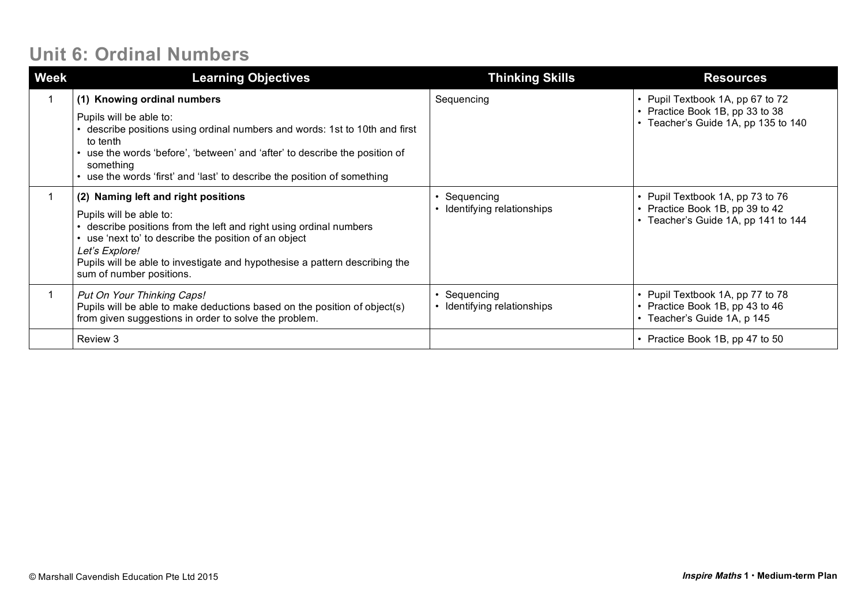## **Unit 6: Ordinal Numbers**

| <b>Week</b> | <b>Learning Objectives</b>                                                                                                                                                                                                                                                                                               | <b>Thinking Skills</b>                  | <b>Resources</b>                                                                                           |
|-------------|--------------------------------------------------------------------------------------------------------------------------------------------------------------------------------------------------------------------------------------------------------------------------------------------------------------------------|-----------------------------------------|------------------------------------------------------------------------------------------------------------|
|             | (1) Knowing ordinal numbers<br>Pupils will be able to:<br>• describe positions using ordinal numbers and words: 1st to 10th and first<br>to tenth<br>• use the words 'before', 'between' and 'after' to describe the position of<br>something<br>use the words 'first' and 'last' to describe the position of something  | Sequencing                              | • Pupil Textbook 1A, pp 67 to 72<br>• Practice Book 1B, pp 33 to 38<br>• Teacher's Guide 1A, pp 135 to 140 |
|             | (2) Naming left and right positions<br>Pupils will be able to:<br>describe positions from the left and right using ordinal numbers<br>• use 'next to' to describe the position of an object<br>Let's Explore!<br>Pupils will be able to investigate and hypothesise a pattern describing the<br>sum of number positions. | Sequencing<br>Identifying relationships | • Pupil Textbook 1A, pp 73 to 76<br>• Practice Book 1B, pp 39 to 42<br>• Teacher's Guide 1A, pp 141 to 144 |
|             | Put On Your Thinking Caps!<br>Pupils will be able to make deductions based on the position of object(s)<br>from given suggestions in order to solve the problem.                                                                                                                                                         | Sequencing<br>Identifying relationships | • Pupil Textbook 1A, pp 77 to 78<br>• Practice Book 1B, pp 43 to 46<br>• Teacher's Guide 1A, p 145         |
|             | Review 3                                                                                                                                                                                                                                                                                                                 |                                         | • Practice Book 1B, pp 47 to 50                                                                            |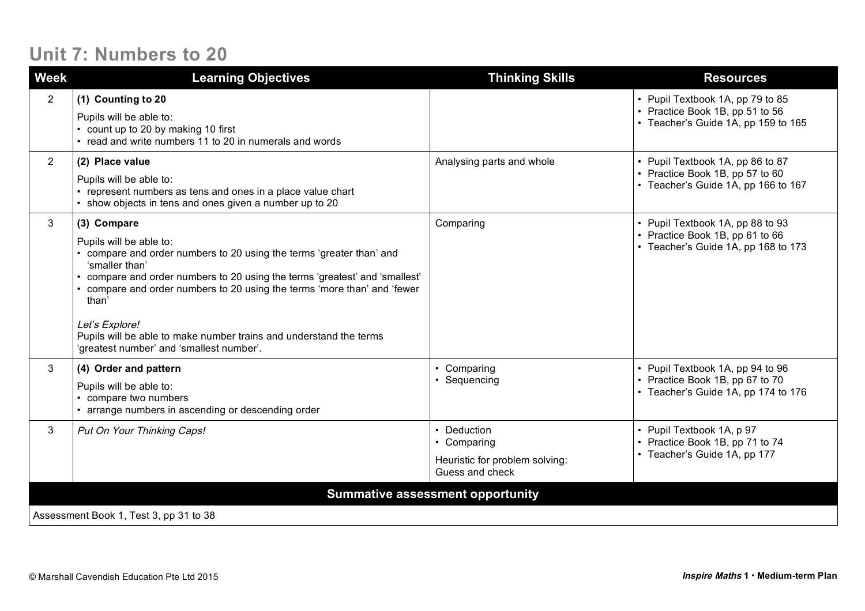### **Unit 7: Numbers to 20**

| <b>Week</b>    | <b>Learning Objectives</b>                                                                                                                                                                                                                                                                                                                                                                                                           | <b>Thinking Skills</b>                                                          | <b>Resources</b>                                                                                           |  |  |
|----------------|--------------------------------------------------------------------------------------------------------------------------------------------------------------------------------------------------------------------------------------------------------------------------------------------------------------------------------------------------------------------------------------------------------------------------------------|---------------------------------------------------------------------------------|------------------------------------------------------------------------------------------------------------|--|--|
| $\overline{2}$ | (1) Counting to 20<br>Pupils will be able to:<br>• count up to 20 by making 10 first<br>• read and write numbers 11 to 20 in numerals and words                                                                                                                                                                                                                                                                                      |                                                                                 | • Pupil Textbook 1A, pp 79 to 85<br>• Practice Book 1B, pp 51 to 56<br>• Teacher's Guide 1A, pp 159 to 165 |  |  |
| $\overline{2}$ | (2) Place value<br>Pupils will be able to:<br>• represent numbers as tens and ones in a place value chart<br>• show objects in tens and ones given a number up to 20                                                                                                                                                                                                                                                                 | Analysing parts and whole                                                       | • Pupil Textbook 1A, pp 86 to 87<br>• Practice Book 1B, pp 57 to 60<br>• Teacher's Guide 1A, pp 166 to 167 |  |  |
| 3              | (3) Compare<br>Pupils will be able to:<br>• compare and order numbers to 20 using the terms 'greater than' and<br>'smaller than'<br>compare and order numbers to 20 using the terms 'greatest' and 'smallest'<br>compare and order numbers to 20 using the terms 'more than' and 'fewer<br>than'<br>Let's Explore!<br>Pupils will be able to make number trains and understand the terms<br>'greatest number' and 'smallest number'. | Comparing                                                                       | • Pupil Textbook 1A, pp 88 to 93<br>• Practice Book 1B, pp 61 to 66<br>• Teacher's Guide 1A, pp 168 to 173 |  |  |
| 3              | (4) Order and pattern<br>Pupils will be able to:<br>compare two numbers<br>arrange numbers in ascending or descending order                                                                                                                                                                                                                                                                                                          | • Comparing<br>• Sequencing                                                     | • Pupil Textbook 1A, pp 94 to 96<br>• Practice Book 1B, pp 67 to 70<br>• Teacher's Guide 1A, pp 174 to 176 |  |  |
| 3              | Put On Your Thinking Caps!                                                                                                                                                                                                                                                                                                                                                                                                           | • Deduction<br>• Comparing<br>Heuristic for problem solving:<br>Guess and check | • Pupil Textbook 1A, p 97<br>• Practice Book 1B, pp 71 to 74<br>• Teacher's Guide 1A, pp 177               |  |  |
|                | <b>Summative assessment opportunity</b>                                                                                                                                                                                                                                                                                                                                                                                              |                                                                                 |                                                                                                            |  |  |
|                | Assessment Book 1, Test 3, pp 31 to 38                                                                                                                                                                                                                                                                                                                                                                                               |                                                                                 |                                                                                                            |  |  |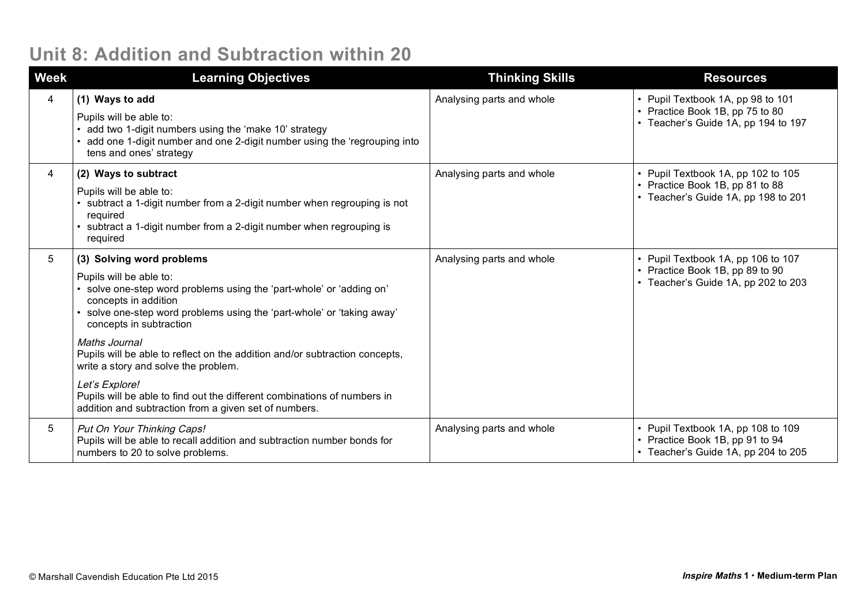## **Unit 8: Addition and Subtraction within 20**

| <b>Week</b> | <b>Learning Objectives</b>                                                                                                                                                                                                                                                                                                                                                                                                                                                                                                                             | <b>Thinking Skills</b>    | <b>Resources</b>                                                                                             |
|-------------|--------------------------------------------------------------------------------------------------------------------------------------------------------------------------------------------------------------------------------------------------------------------------------------------------------------------------------------------------------------------------------------------------------------------------------------------------------------------------------------------------------------------------------------------------------|---------------------------|--------------------------------------------------------------------------------------------------------------|
| 4           | (1) Ways to add<br>Pupils will be able to:<br>add two 1-digit numbers using the 'make 10' strategy<br>add one 1-digit number and one 2-digit number using the 'regrouping into<br>tens and ones' strategy                                                                                                                                                                                                                                                                                                                                              | Analysing parts and whole | • Pupil Textbook 1A, pp 98 to 101<br>• Practice Book 1B, pp 75 to 80<br>• Teacher's Guide 1A, pp 194 to 197  |
| 4           | (2) Ways to subtract<br>Pupils will be able to:<br>subtract a 1-digit number from a 2-digit number when regrouping is not<br>required<br>subtract a 1-digit number from a 2-digit number when regrouping is<br>required                                                                                                                                                                                                                                                                                                                                | Analysing parts and whole | • Pupil Textbook 1A, pp 102 to 105<br>• Practice Book 1B, pp 81 to 88<br>• Teacher's Guide 1A, pp 198 to 201 |
| 5           | (3) Solving word problems<br>Pupils will be able to:<br>solve one-step word problems using the 'part-whole' or 'adding on'<br>concepts in addition<br>• solve one-step word problems using the 'part-whole' or 'taking away'<br>concepts in subtraction<br>Maths Journal<br>Pupils will be able to reflect on the addition and/or subtraction concepts,<br>write a story and solve the problem.<br>Let's Explore!<br>Pupils will be able to find out the different combinations of numbers in<br>addition and subtraction from a given set of numbers. | Analysing parts and whole | • Pupil Textbook 1A, pp 106 to 107<br>• Practice Book 1B, pp 89 to 90<br>• Teacher's Guide 1A, pp 202 to 203 |
| 5           | Put On Your Thinking Caps!<br>Pupils will be able to recall addition and subtraction number bonds for<br>numbers to 20 to solve problems.                                                                                                                                                                                                                                                                                                                                                                                                              | Analysing parts and whole | • Pupil Textbook 1A, pp 108 to 109<br>• Practice Book 1B, pp 91 to 94<br>• Teacher's Guide 1A, pp 204 to 205 |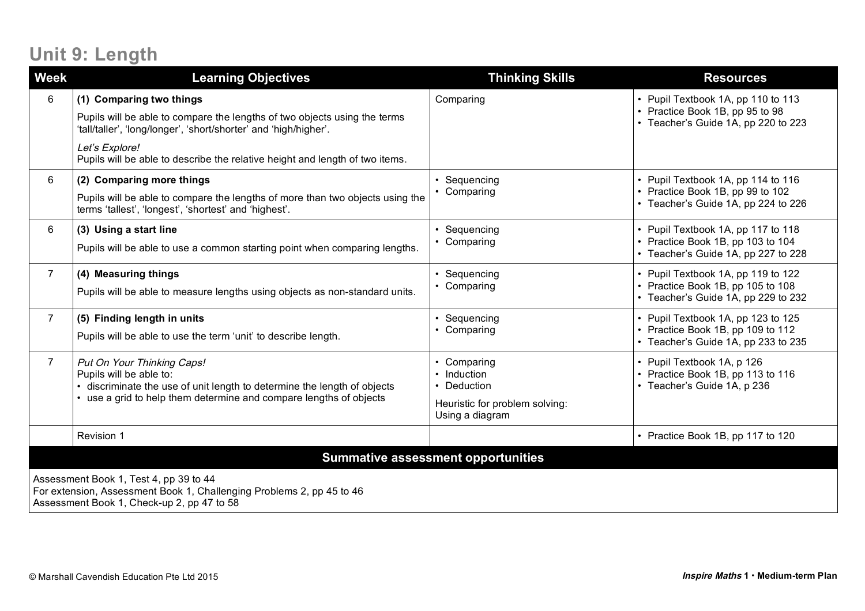# **Unit 9: Length**

| <b>Week</b>                                                                                                                                                   | <b>Learning Objectives</b>                                                                                                                                                                                                                                                  | <b>Thinking Skills</b>                                                                       | <b>Resources</b>                                                                                               |  |
|---------------------------------------------------------------------------------------------------------------------------------------------------------------|-----------------------------------------------------------------------------------------------------------------------------------------------------------------------------------------------------------------------------------------------------------------------------|----------------------------------------------------------------------------------------------|----------------------------------------------------------------------------------------------------------------|--|
| 6                                                                                                                                                             | (1) Comparing two things<br>Pupils will be able to compare the lengths of two objects using the terms<br>'tall/taller', 'long/longer', 'short/shorter' and 'high/higher'.<br>Let's Explore!<br>Pupils will be able to describe the relative height and length of two items. | Comparing                                                                                    | • Pupil Textbook 1A, pp 110 to 113<br>• Practice Book 1B, pp 95 to 98<br>• Teacher's Guide 1A, pp 220 to 223   |  |
| 6                                                                                                                                                             | (2) Comparing more things<br>Pupils will be able to compare the lengths of more than two objects using the<br>terms 'tallest', 'longest', 'shortest' and 'highest'.                                                                                                         | Sequencing<br>• Comparing                                                                    | • Pupil Textbook 1A, pp 114 to 116<br>• Practice Book 1B, pp 99 to 102<br>• Teacher's Guide 1A, pp 224 to 226  |  |
| 6                                                                                                                                                             | (3) Using a start line<br>Pupils will be able to use a common starting point when comparing lengths.                                                                                                                                                                        | Sequencing<br>Comparing                                                                      | • Pupil Textbook 1A, pp 117 to 118<br>• Practice Book 1B, pp 103 to 104<br>• Teacher's Guide 1A, pp 227 to 228 |  |
| $\overline{7}$                                                                                                                                                | (4) Measuring things<br>Pupils will be able to measure lengths using objects as non-standard units.                                                                                                                                                                         | Sequencing<br>Comparing                                                                      | • Pupil Textbook 1A, pp 119 to 122<br>• Practice Book 1B, pp 105 to 108<br>• Teacher's Guide 1A, pp 229 to 232 |  |
| $\overline{7}$                                                                                                                                                | (5) Finding length in units<br>Pupils will be able to use the term 'unit' to describe length.                                                                                                                                                                               | • Sequencing<br>• Comparing                                                                  | • Pupil Textbook 1A, pp 123 to 125<br>• Practice Book 1B, pp 109 to 112<br>• Teacher's Guide 1A, pp 233 to 235 |  |
| $\overline{7}$                                                                                                                                                | Put On Your Thinking Caps!<br>Pupils will be able to:<br>discriminate the use of unit length to determine the length of objects<br>use a grid to help them determine and compare lengths of objects                                                                         | Comparing<br>• Induction<br>• Deduction<br>Heuristic for problem solving:<br>Using a diagram | • Pupil Textbook 1A, p 126<br>• Practice Book 1B, pp 113 to 116<br>• Teacher's Guide 1A, p 236                 |  |
|                                                                                                                                                               | Revision 1                                                                                                                                                                                                                                                                  |                                                                                              | • Practice Book 1B, pp 117 to 120                                                                              |  |
| <b>Summative assessment opportunities</b>                                                                                                                     |                                                                                                                                                                                                                                                                             |                                                                                              |                                                                                                                |  |
| Assessment Book 1, Test 4, pp 39 to 44<br>For extension, Assessment Book 1, Challenging Problems 2, pp 45 to 46<br>Assessment Book 1, Check-up 2, pp 47 to 58 |                                                                                                                                                                                                                                                                             |                                                                                              |                                                                                                                |  |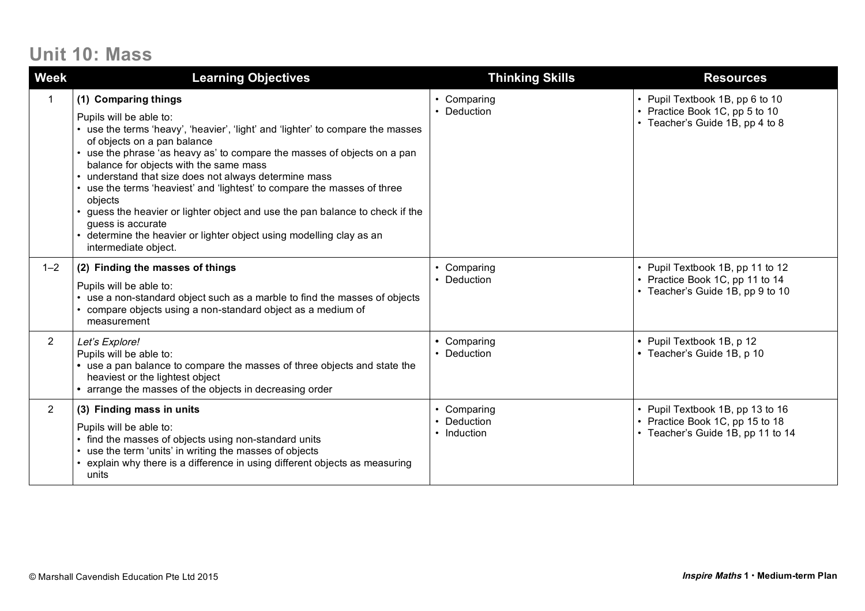## **Unit 10: Mass**

| <b>Week</b>    | <b>Learning Objectives</b>                                                                                                                                                                                                                                                                                                                                                                                                                                                                                                                                                                                                                  | <b>Thinking Skills</b>                | <b>Resources</b>                                                                                         |
|----------------|---------------------------------------------------------------------------------------------------------------------------------------------------------------------------------------------------------------------------------------------------------------------------------------------------------------------------------------------------------------------------------------------------------------------------------------------------------------------------------------------------------------------------------------------------------------------------------------------------------------------------------------------|---------------------------------------|----------------------------------------------------------------------------------------------------------|
|                | (1) Comparing things<br>Pupils will be able to:<br>• use the terms 'heavy', 'heavier', 'light' and 'lighter' to compare the masses<br>of objects on a pan balance<br>• use the phrase 'as heavy as' to compare the masses of objects on a pan<br>balance for objects with the same mass<br>• understand that size does not always determine mass<br>• use the terms 'heaviest' and 'lightest' to compare the masses of three<br>objects<br>• guess the heavier or lighter object and use the pan balance to check if the<br>guess is accurate<br>determine the heavier or lighter object using modelling clay as an<br>intermediate object. | • Comparing<br>Deduction              | • Pupil Textbook 1B, pp 6 to 10<br>• Practice Book 1C, pp 5 to 10<br>• Teacher's Guide 1B, pp 4 to 8     |
| $1 - 2$        | (2) Finding the masses of things<br>Pupils will be able to:<br>use a non-standard object such as a marble to find the masses of objects<br>• compare objects using a non-standard object as a medium of<br>measurement                                                                                                                                                                                                                                                                                                                                                                                                                      | Comparing<br>Deduction                | • Pupil Textbook 1B, pp 11 to 12<br>• Practice Book 1C, pp 11 to 14<br>• Teacher's Guide 1B, pp 9 to 10  |
| $2^{\circ}$    | Let's Explore!<br>Pupils will be able to:<br>• use a pan balance to compare the masses of three objects and state the<br>heaviest or the lightest object<br>• arrange the masses of the objects in decreasing order                                                                                                                                                                                                                                                                                                                                                                                                                         | • Comparing<br>• Deduction            | • Pupil Textbook 1B, p 12<br>• Teacher's Guide 1B, p 10                                                  |
| $\overline{2}$ | (3) Finding mass in units<br>Pupils will be able to:<br>find the masses of objects using non-standard units<br>• use the term 'units' in writing the masses of objects<br>• explain why there is a difference in using different objects as measuring<br>units                                                                                                                                                                                                                                                                                                                                                                              | Comparing<br>Deduction<br>• Induction | • Pupil Textbook 1B, pp 13 to 16<br>• Practice Book 1C, pp 15 to 18<br>• Teacher's Guide 1B, pp 11 to 14 |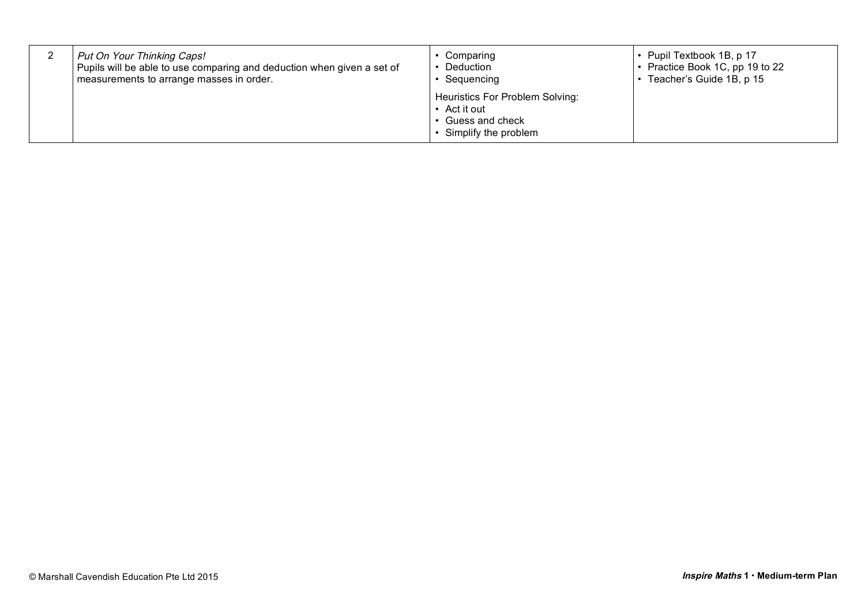| Put On Your Thinking Caps!                                             | Comparing                                                                                  | • Pupil Textbook 1B, p 17       |
|------------------------------------------------------------------------|--------------------------------------------------------------------------------------------|---------------------------------|
| Pupils will be able to use comparing and deduction when given a set of | Deduction                                                                                  | • Practice Book 1C, pp 19 to 22 |
| measurements to arrange masses in order.                               | Sequencing                                                                                 | • Teacher's Guide 1B, p 15      |
|                                                                        | Heuristics For Problem Solving:<br>• Act it out<br>Guess and check<br>Simplify the problem |                                 |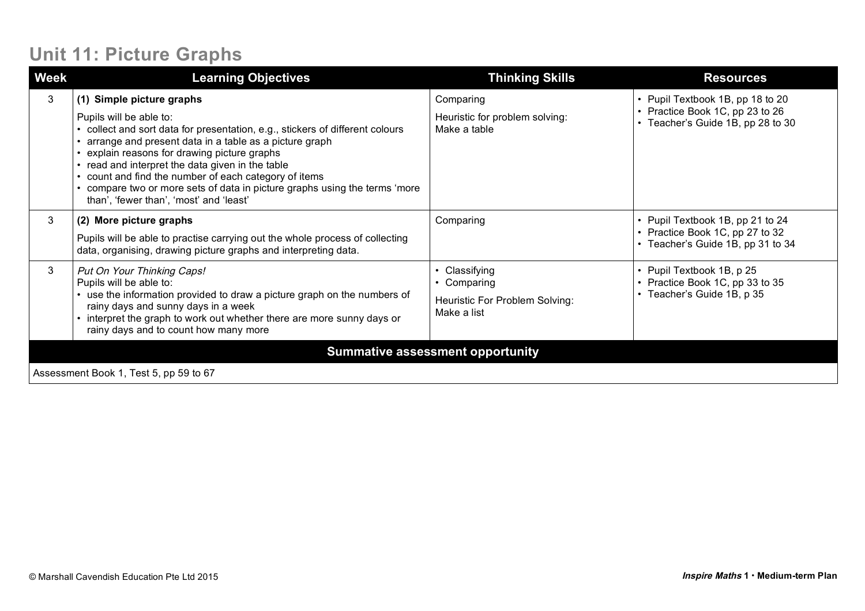## **Unit 11: Picture Graphs**

| <b>Week</b>                             | <b>Learning Objectives</b>                                                                                                                                                                                                                                                                                                                                                                                                                                                  | <b>Thinking Skills</b>                                                      | <b>Resources</b>                                                                                         |  |
|-----------------------------------------|-----------------------------------------------------------------------------------------------------------------------------------------------------------------------------------------------------------------------------------------------------------------------------------------------------------------------------------------------------------------------------------------------------------------------------------------------------------------------------|-----------------------------------------------------------------------------|----------------------------------------------------------------------------------------------------------|--|
| 3                                       | (1) Simple picture graphs<br>Pupils will be able to:<br>collect and sort data for presentation, e.g., stickers of different colours<br>arrange and present data in a table as a picture graph<br>explain reasons for drawing picture graphs<br>read and interpret the data given in the table<br>count and find the number of each category of items<br>compare two or more sets of data in picture graphs using the terms 'more<br>than', 'fewer than', 'most' and 'least' | Comparing<br>Heuristic for problem solving:<br>Make a table                 | • Pupil Textbook 1B, pp 18 to 20<br>• Practice Book 1C, pp 23 to 26<br>• Teacher's Guide 1B, pp 28 to 30 |  |
| 3                                       | (2) More picture graphs<br>Pupils will be able to practise carrying out the whole process of collecting<br>data, organising, drawing picture graphs and interpreting data.                                                                                                                                                                                                                                                                                                  | Comparing                                                                   | • Pupil Textbook 1B, pp 21 to 24<br>• Practice Book 1C, pp 27 to 32<br>• Teacher's Guide 1B, pp 31 to 34 |  |
| 3                                       | Put On Your Thinking Caps!<br>Pupils will be able to:<br>• use the information provided to draw a picture graph on the numbers of<br>rainy days and sunny days in a week<br>interpret the graph to work out whether there are more sunny days or<br>rainy days and to count how many more                                                                                                                                                                                   | Classifying<br>• Comparing<br>Heuristic For Problem Solving:<br>Make a list | • Pupil Textbook 1B, p 25<br>• Practice Book 1C, pp 33 to 35<br>• Teacher's Guide 1B, p 35               |  |
| <b>Summative assessment opportunity</b> |                                                                                                                                                                                                                                                                                                                                                                                                                                                                             |                                                                             |                                                                                                          |  |
| Assessment Book 1, Test 5, pp 59 to 67  |                                                                                                                                                                                                                                                                                                                                                                                                                                                                             |                                                                             |                                                                                                          |  |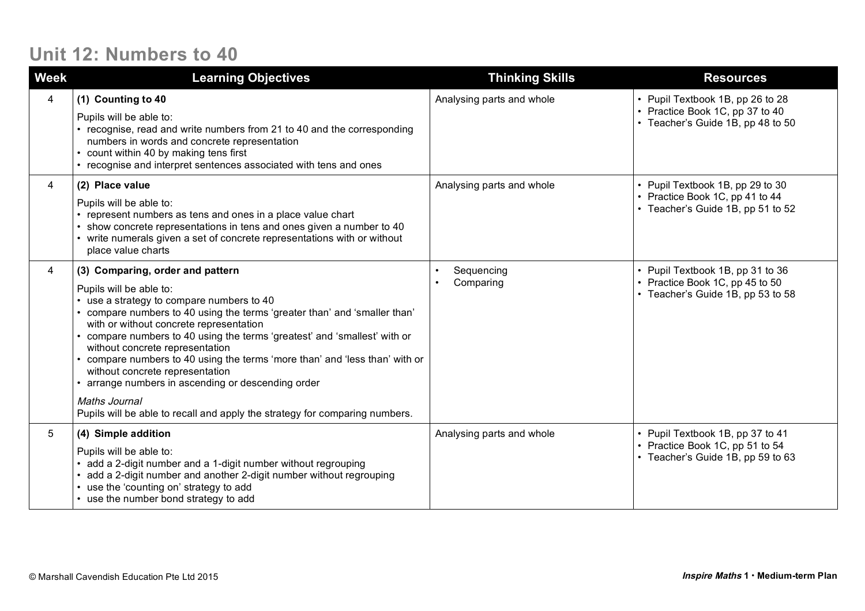### **Unit 12: Numbers to 40**

| <b>Week</b> | <b>Learning Objectives</b>                                                                                                                                                                                                                                                                                                                                                                                                                                                                                                                                                                                               | <b>Thinking Skills</b>    | <b>Resources</b>                                                                                         |
|-------------|--------------------------------------------------------------------------------------------------------------------------------------------------------------------------------------------------------------------------------------------------------------------------------------------------------------------------------------------------------------------------------------------------------------------------------------------------------------------------------------------------------------------------------------------------------------------------------------------------------------------------|---------------------------|----------------------------------------------------------------------------------------------------------|
| 4           | (1) Counting to 40<br>Pupils will be able to:<br>• recognise, read and write numbers from 21 to 40 and the corresponding<br>numbers in words and concrete representation<br>• count within 40 by making tens first<br>• recognise and interpret sentences associated with tens and ones                                                                                                                                                                                                                                                                                                                                  | Analysing parts and whole | • Pupil Textbook 1B, pp 26 to 28<br>• Practice Book 1C, pp 37 to 40<br>• Teacher's Guide 1B, pp 48 to 50 |
| 4           | (2) Place value<br>Pupils will be able to:<br>represent numbers as tens and ones in a place value chart<br>show concrete representations in tens and ones given a number to 40<br>• write numerals given a set of concrete representations with or without<br>place value charts                                                                                                                                                                                                                                                                                                                                         | Analysing parts and whole | • Pupil Textbook 1B, pp 29 to 30<br>• Practice Book 1C, pp 41 to 44<br>• Teacher's Guide 1B, pp 51 to 52 |
| 4           | (3) Comparing, order and pattern<br>Pupils will be able to:<br>• use a strategy to compare numbers to 40<br>• compare numbers to 40 using the terms 'greater than' and 'smaller than'<br>with or without concrete representation<br>• compare numbers to 40 using the terms 'greatest' and 'smallest' with or<br>without concrete representation<br>• compare numbers to 40 using the terms 'more than' and 'less than' with or<br>without concrete representation<br>• arrange numbers in ascending or descending order<br>Maths Journal<br>Pupils will be able to recall and apply the strategy for comparing numbers. | Sequencing<br>Comparing   | • Pupil Textbook 1B, pp 31 to 36<br>• Practice Book 1C, pp 45 to 50<br>• Teacher's Guide 1B, pp 53 to 58 |
| 5           | (4) Simple addition<br>Pupils will be able to:<br>add a 2-digit number and a 1-digit number without regrouping<br>add a 2-digit number and another 2-digit number without regrouping<br>use the 'counting on' strategy to add<br>• use the number bond strategy to add                                                                                                                                                                                                                                                                                                                                                   | Analysing parts and whole | • Pupil Textbook 1B, pp 37 to 41<br>• Practice Book 1C, pp 51 to 54<br>• Teacher's Guide 1B, pp 59 to 63 |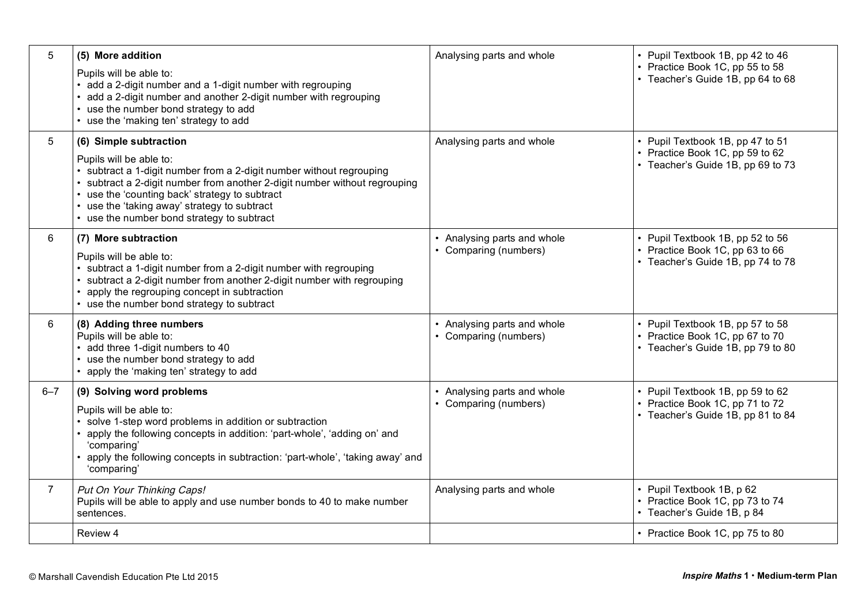| 5              | (5) More addition                                                                                                                                                                                                                                                                                                                                 | Analysing parts and whole                          | • Pupil Textbook 1B, pp 42 to 46                                                                         |
|----------------|---------------------------------------------------------------------------------------------------------------------------------------------------------------------------------------------------------------------------------------------------------------------------------------------------------------------------------------------------|----------------------------------------------------|----------------------------------------------------------------------------------------------------------|
|                | Pupils will be able to:<br>• add a 2-digit number and a 1-digit number with regrouping<br>add a 2-digit number and another 2-digit number with regrouping<br>use the number bond strategy to add<br>use the 'making ten' strategy to add                                                                                                          |                                                    | • Practice Book 1C, pp 55 to 58<br>• Teacher's Guide 1B, pp 64 to 68                                     |
| 5              | (6) Simple subtraction<br>Pupils will be able to:<br>• subtract a 1-digit number from a 2-digit number without regrouping<br>subtract a 2-digit number from another 2-digit number without regrouping<br>use the 'counting back' strategy to subtract<br>use the 'taking away' strategy to subtract<br>• use the number bond strategy to subtract | Analysing parts and whole                          | • Pupil Textbook 1B, pp 47 to 51<br>• Practice Book 1C, pp 59 to 62<br>• Teacher's Guide 1B, pp 69 to 73 |
| 6              | (7) More subtraction<br>Pupils will be able to:<br>• subtract a 1-digit number from a 2-digit number with regrouping<br>subtract a 2-digit number from another 2-digit number with regrouping<br>apply the regrouping concept in subtraction<br>use the number bond strategy to subtract                                                          | • Analysing parts and whole<br>Comparing (numbers) | • Pupil Textbook 1B, pp 52 to 56<br>Practice Book 1C, pp 63 to 66<br>• Teacher's Guide 1B, pp 74 to 78   |
| 6              | (8) Adding three numbers<br>Pupils will be able to:<br>add three 1-digit numbers to 40<br>use the number bond strategy to add<br>apply the 'making ten' strategy to add                                                                                                                                                                           | • Analysing parts and whole<br>Comparing (numbers) | • Pupil Textbook 1B, pp 57 to 58<br>• Practice Book 1C, pp 67 to 70<br>• Teacher's Guide 1B, pp 79 to 80 |
| $6 - 7$        | (9) Solving word problems<br>Pupils will be able to:<br>• solve 1-step word problems in addition or subtraction<br>apply the following concepts in addition: 'part-whole', 'adding on' and<br>'comparing'<br>apply the following concepts in subtraction: 'part-whole', 'taking away' and<br>'comparing'                                          | • Analysing parts and whole<br>Comparing (numbers) | • Pupil Textbook 1B, pp 59 to 62<br>• Practice Book 1C, pp 71 to 72<br>• Teacher's Guide 1B, pp 81 to 84 |
| $\overline{7}$ | Put On Your Thinking Caps!<br>Pupils will be able to apply and use number bonds to 40 to make number<br>sentences.                                                                                                                                                                                                                                | Analysing parts and whole                          | • Pupil Textbook 1B, p 62<br>• Practice Book 1C, pp 73 to 74<br>• Teacher's Guide 1B, p 84               |
|                | Review 4                                                                                                                                                                                                                                                                                                                                          |                                                    | • Practice Book 1C, pp 75 to 80                                                                          |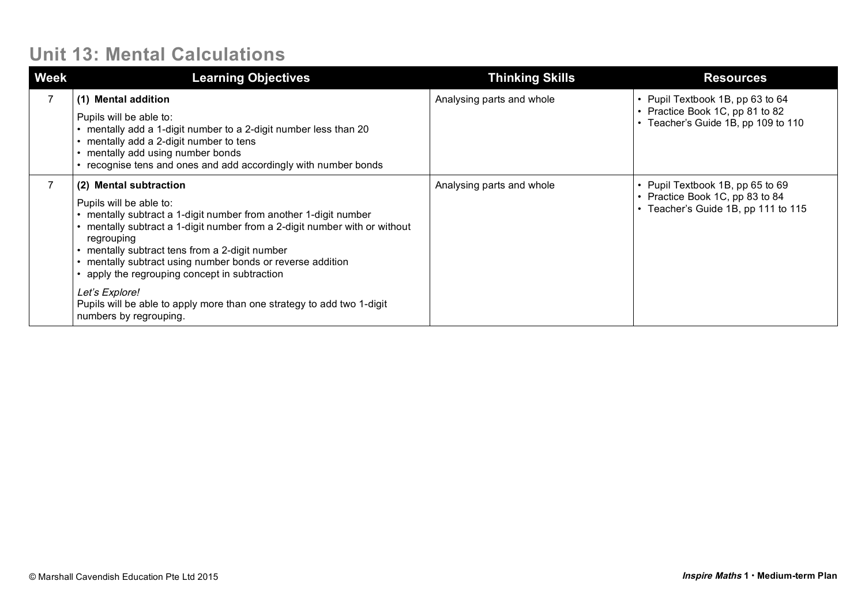### **Unit 13: Mental Calculations**

| <b>Week</b> | <b>Learning Objectives</b>                                                                                                                                                                                                                                                                                                                                                                                                                                                                     | <b>Thinking Skills</b>    | <b>Resources</b>                                                                                           |
|-------------|------------------------------------------------------------------------------------------------------------------------------------------------------------------------------------------------------------------------------------------------------------------------------------------------------------------------------------------------------------------------------------------------------------------------------------------------------------------------------------------------|---------------------------|------------------------------------------------------------------------------------------------------------|
|             | (1) Mental addition<br>Pupils will be able to:<br>mentally add a 1-digit number to a 2-digit number less than 20<br>mentally add a 2-digit number to tens<br>mentally add using number bonds<br>recognise tens and ones and add accordingly with number bonds                                                                                                                                                                                                                                  | Analysing parts and whole | • Pupil Textbook 1B, pp 63 to 64<br>• Practice Book 1C, pp 81 to 82<br>• Teacher's Guide 1B, pp 109 to 110 |
|             | (2) Mental subtraction<br>Pupils will be able to:<br>mentally subtract a 1-digit number from another 1-digit number<br>mentally subtract a 1-digit number from a 2-digit number with or without<br>regrouping<br>mentally subtract tens from a 2-digit number<br>mentally subtract using number bonds or reverse addition<br>apply the regrouping concept in subtraction<br>Let's Explore!<br>Pupils will be able to apply more than one strategy to add two 1-digit<br>numbers by regrouping. | Analysing parts and whole | • Pupil Textbook 1B, pp 65 to 69<br>• Practice Book 1C, pp 83 to 84<br>• Teacher's Guide 1B, pp 111 to 115 |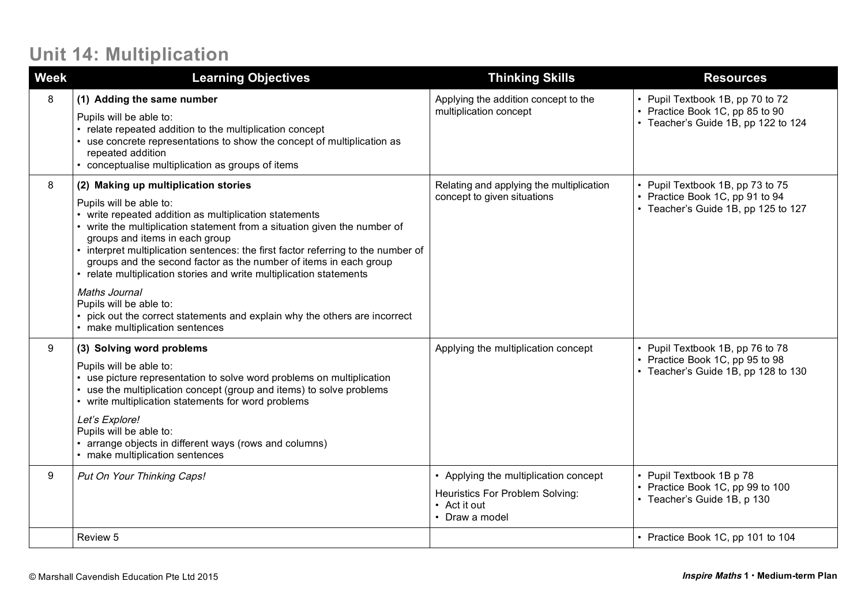## **Unit 14: Multiplication**

| <b>Week</b> | <b>Learning Objectives</b>                                                                                                                                                                                                                                                                                                                                                                                                                                                                                                                                                                                                     | <b>Thinking Skills</b>                                                                                     | <b>Resources</b>                                                                                           |
|-------------|--------------------------------------------------------------------------------------------------------------------------------------------------------------------------------------------------------------------------------------------------------------------------------------------------------------------------------------------------------------------------------------------------------------------------------------------------------------------------------------------------------------------------------------------------------------------------------------------------------------------------------|------------------------------------------------------------------------------------------------------------|------------------------------------------------------------------------------------------------------------|
| 8           | (1) Adding the same number<br>Pupils will be able to:<br>• relate repeated addition to the multiplication concept<br>use concrete representations to show the concept of multiplication as<br>repeated addition<br>• conceptualise multiplication as groups of items                                                                                                                                                                                                                                                                                                                                                           | Applying the addition concept to the<br>multiplication concept                                             | • Pupil Textbook 1B, pp 70 to 72<br>• Practice Book 1C, pp 85 to 90<br>• Teacher's Guide 1B, pp 122 to 124 |
| 8           | (2) Making up multiplication stories<br>Pupils will be able to:<br>write repeated addition as multiplication statements<br>write the multiplication statement from a situation given the number of<br>groups and items in each group<br>interpret multiplication sentences: the first factor referring to the number of<br>groups and the second factor as the number of items in each group<br>• relate multiplication stories and write multiplication statements<br>Maths Journal<br>Pupils will be able to:<br>pick out the correct statements and explain why the others are incorrect<br>• make multiplication sentences | Relating and applying the multiplication<br>concept to given situations                                    | • Pupil Textbook 1B, pp 73 to 75<br>• Practice Book 1C, pp 91 to 94<br>• Teacher's Guide 1B, pp 125 to 127 |
| 9           | (3) Solving word problems<br>Pupils will be able to:<br>use picture representation to solve word problems on multiplication<br>use the multiplication concept (group and items) to solve problems<br>• write multiplication statements for word problems<br>Let's Explore!<br>Pupils will be able to:<br>arrange objects in different ways (rows and columns)<br>• make multiplication sentences                                                                                                                                                                                                                               | Applying the multiplication concept                                                                        | • Pupil Textbook 1B, pp 76 to 78<br>• Practice Book 1C, pp 95 to 98<br>• Teacher's Guide 1B, pp 128 to 130 |
| 9           | Put On Your Thinking Caps!                                                                                                                                                                                                                                                                                                                                                                                                                                                                                                                                                                                                     | • Applying the multiplication concept<br>Heuristics For Problem Solving:<br>• Act it out<br>• Draw a model | • Pupil Textbook 1B p 78<br>• Practice Book 1C, pp 99 to 100<br>• Teacher's Guide 1B, p 130                |
|             | Review 5                                                                                                                                                                                                                                                                                                                                                                                                                                                                                                                                                                                                                       |                                                                                                            | • Practice Book 1C, pp 101 to 104                                                                          |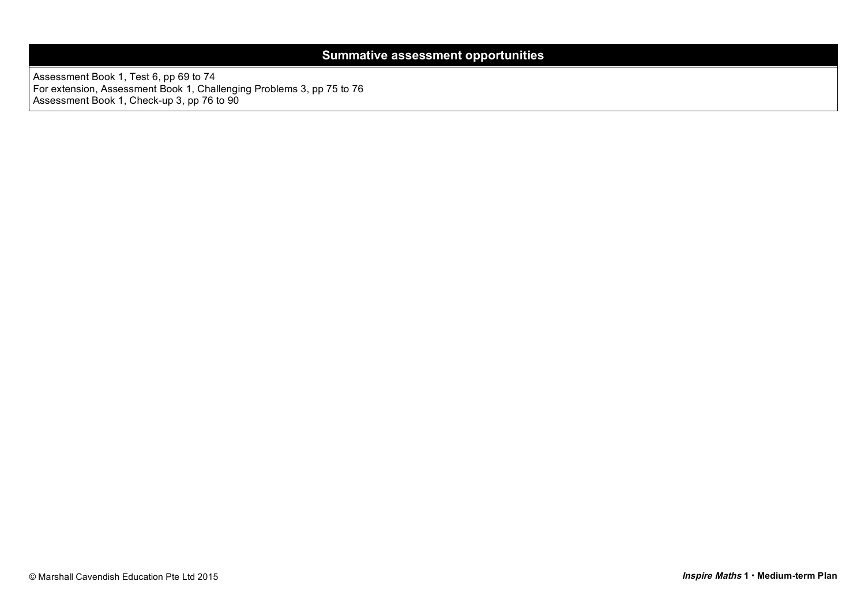#### **Summative assessment opportunities**

Assessment Book 1, Test 6, pp 69 to 74 For extension, Assessment Book 1, Challenging Problems 3, pp 75 to 76 Assessment Book 1, Check-up 3, pp 76 to 90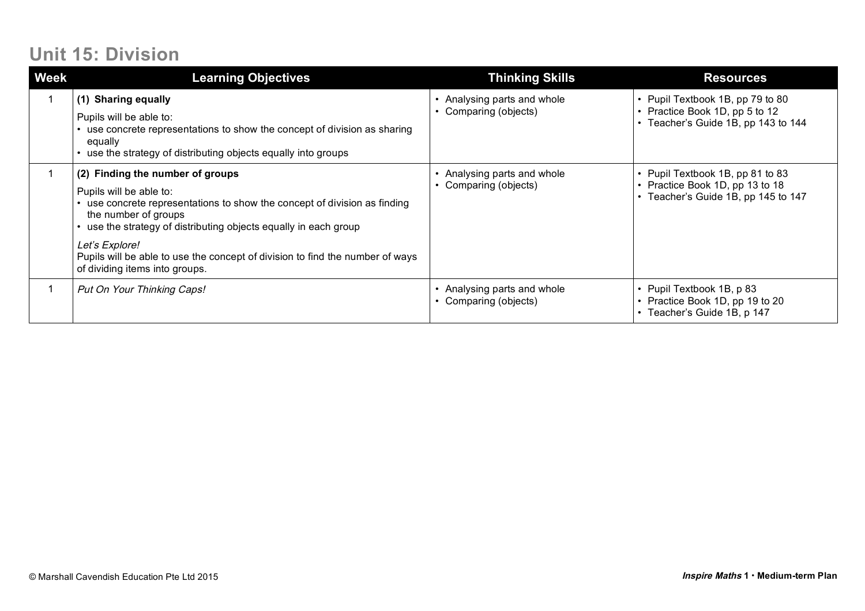## **Unit 15: Division**

| Week | <b>Learning Objectives</b>                                                                                                                                                                                                                                                                                                                                              | <b>Thinking Skills</b>                           | <b>Resources</b>                                                                                           |
|------|-------------------------------------------------------------------------------------------------------------------------------------------------------------------------------------------------------------------------------------------------------------------------------------------------------------------------------------------------------------------------|--------------------------------------------------|------------------------------------------------------------------------------------------------------------|
|      | (1) Sharing equally<br>Pupils will be able to:<br>use concrete representations to show the concept of division as sharing<br>equally<br>• use the strategy of distributing objects equally into groups                                                                                                                                                                  | Analysing parts and whole<br>Comparing (objects) | • Pupil Textbook 1B, pp 79 to 80<br>• Practice Book 1D, pp 5 to 12<br>• Teacher's Guide 1B, pp 143 to 144  |
|      | (2) Finding the number of groups<br>Pupils will be able to:<br>• use concrete representations to show the concept of division as finding<br>the number of groups<br>use the strategy of distributing objects equally in each group<br>Let's Explore!<br>Pupils will be able to use the concept of division to find the number of ways<br>of dividing items into groups. | Analysing parts and whole<br>Comparing (objects) | • Pupil Textbook 1B, pp 81 to 83<br>• Practice Book 1D, pp 13 to 18<br>• Teacher's Guide 1B, pp 145 to 147 |
|      | Put On Your Thinking Caps!                                                                                                                                                                                                                                                                                                                                              | Analysing parts and whole<br>Comparing (objects) | • Pupil Textbook 1B, p 83<br>• Practice Book 1D, pp 19 to 20<br>• Teacher's Guide 1B, p 147                |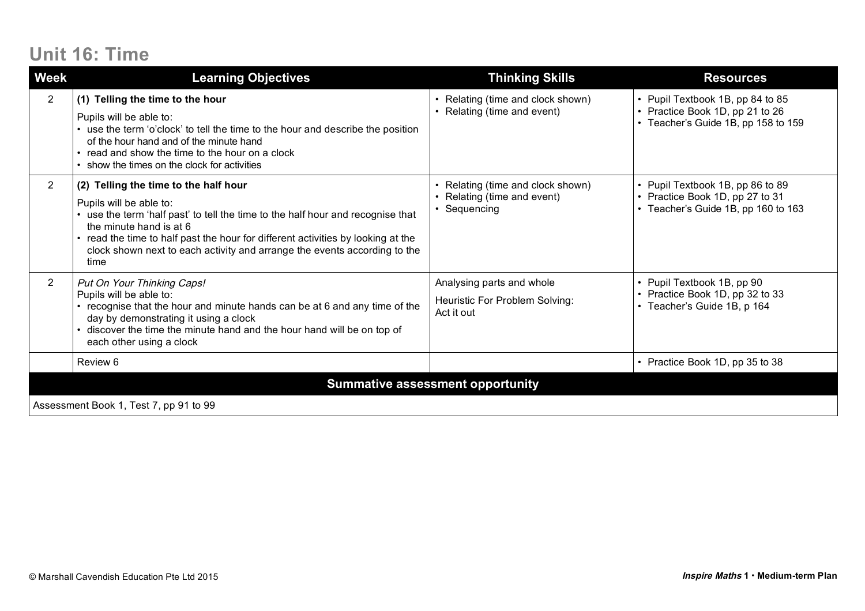# **Unit 16: Time**

| <b>Week</b>                            | <b>Learning Objectives</b>                                                                                                                                                                                                                                                                                                                              | <b>Thinking Skills</b>                                                     | <b>Resources</b>                                                                                           |  |  |
|----------------------------------------|---------------------------------------------------------------------------------------------------------------------------------------------------------------------------------------------------------------------------------------------------------------------------------------------------------------------------------------------------------|----------------------------------------------------------------------------|------------------------------------------------------------------------------------------------------------|--|--|
| $\overline{2}$                         | (1) Telling the time to the hour<br>Pupils will be able to:<br>• use the term 'o'clock' to tell the time to the hour and describe the position<br>of the hour hand and of the minute hand<br>• read and show the time to the hour on a clock<br>• show the times on the clock for activities                                                            | • Relating (time and clock shown)<br>• Relating (time and event)           | • Pupil Textbook 1B, pp 84 to 85<br>• Practice Book 1D, pp 21 to 26<br>• Teacher's Guide 1B, pp 158 to 159 |  |  |
| $\overline{2}$                         | (2) Telling the time to the half hour<br>Pupils will be able to:<br>• use the term 'half past' to tell the time to the half hour and recognise that<br>the minute hand is at 6<br>• read the time to half past the hour for different activities by looking at the<br>clock shown next to each activity and arrange the events according to the<br>time | Relating (time and clock shown)<br>Relating (time and event)<br>Sequencing | • Pupil Textbook 1B, pp 86 to 89<br>• Practice Book 1D, pp 27 to 31<br>• Teacher's Guide 1B, pp 160 to 163 |  |  |
| $\overline{2}$                         | Put On Your Thinking Caps!<br>Pupils will be able to:<br>• recognise that the hour and minute hands can be at 6 and any time of the<br>day by demonstrating it using a clock<br>• discover the time the minute hand and the hour hand will be on top of<br>each other using a clock                                                                     | Analysing parts and whole<br>Heuristic For Problem Solving:<br>Act it out  | • Pupil Textbook 1B, pp 90<br>• Practice Book 1D, pp 32 to 33<br>• Teacher's Guide 1B, p 164               |  |  |
|                                        | Review 6                                                                                                                                                                                                                                                                                                                                                |                                                                            | • Practice Book 1D, pp 35 to 38                                                                            |  |  |
|                                        | <b>Summative assessment opportunity</b>                                                                                                                                                                                                                                                                                                                 |                                                                            |                                                                                                            |  |  |
| Assessment Book 1, Test 7, pp 91 to 99 |                                                                                                                                                                                                                                                                                                                                                         |                                                                            |                                                                                                            |  |  |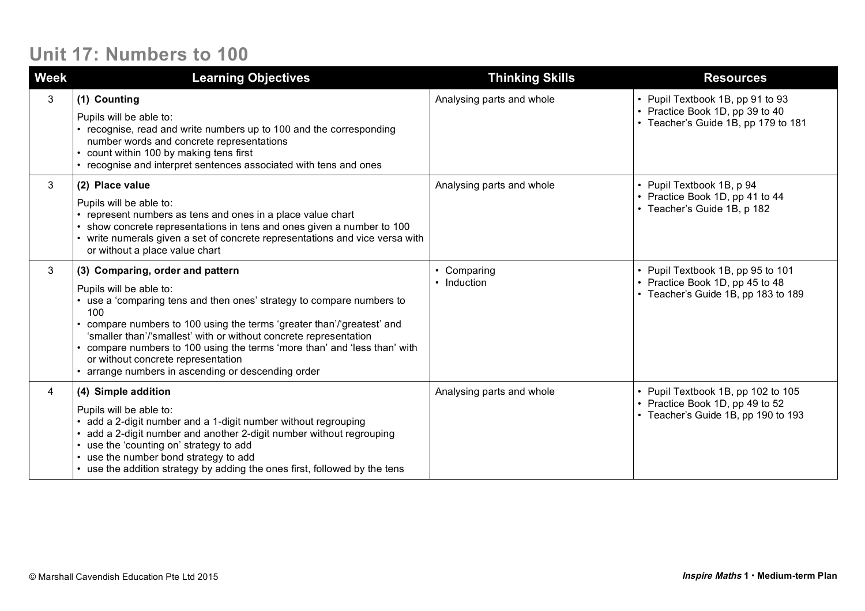## **Unit 17: Numbers to 100**

| Week | <b>Learning Objectives</b>                                                                                                                                                                                                                                                                                                                                                                                                                                        | <b>Thinking Skills</b>     | <b>Resources</b>                                                                                             |
|------|-------------------------------------------------------------------------------------------------------------------------------------------------------------------------------------------------------------------------------------------------------------------------------------------------------------------------------------------------------------------------------------------------------------------------------------------------------------------|----------------------------|--------------------------------------------------------------------------------------------------------------|
| 3    | (1) Counting<br>Pupils will be able to:<br>• recognise, read and write numbers up to 100 and the corresponding<br>number words and concrete representations<br>• count within 100 by making tens first<br>• recognise and interpret sentences associated with tens and ones                                                                                                                                                                                       | Analysing parts and whole  | • Pupil Textbook 1B, pp 91 to 93<br>• Practice Book 1D, pp 39 to 40<br>• Teacher's Guide 1B, pp 179 to 181   |
| 3    | (2) Place value<br>Pupils will be able to:<br>represent numbers as tens and ones in a place value chart<br>show concrete representations in tens and ones given a number to 100<br>• write numerals given a set of concrete representations and vice versa with<br>or without a place value chart                                                                                                                                                                 | Analysing parts and whole  | • Pupil Textbook 1B, p 94<br>• Practice Book 1D, pp 41 to 44<br>• Teacher's Guide 1B, p 182                  |
| 3    | (3) Comparing, order and pattern<br>Pupils will be able to:<br>• use a 'comparing tens and then ones' strategy to compare numbers to<br>100<br>compare numbers to 100 using the terms 'greater than'/'greatest' and<br>'smaller than'/'smallest' with or without concrete representation<br>• compare numbers to 100 using the terms 'more than' and 'less than' with<br>or without concrete representation<br>• arrange numbers in ascending or descending order | • Comparing<br>• Induction | • Pupil Textbook 1B, pp 95 to 101<br>• Practice Book 1D, pp 45 to 48<br>• Teacher's Guide 1B, pp 183 to 189  |
| 4    | (4) Simple addition<br>Pupils will be able to:<br>add a 2-digit number and a 1-digit number without regrouping<br>add a 2-digit number and another 2-digit number without regrouping<br>use the 'counting on' strategy to add<br>• use the number bond strategy to add<br>• use the addition strategy by adding the ones first, followed by the tens                                                                                                              | Analysing parts and whole  | • Pupil Textbook 1B, pp 102 to 105<br>• Practice Book 1D, pp 49 to 52<br>• Teacher's Guide 1B, pp 190 to 193 |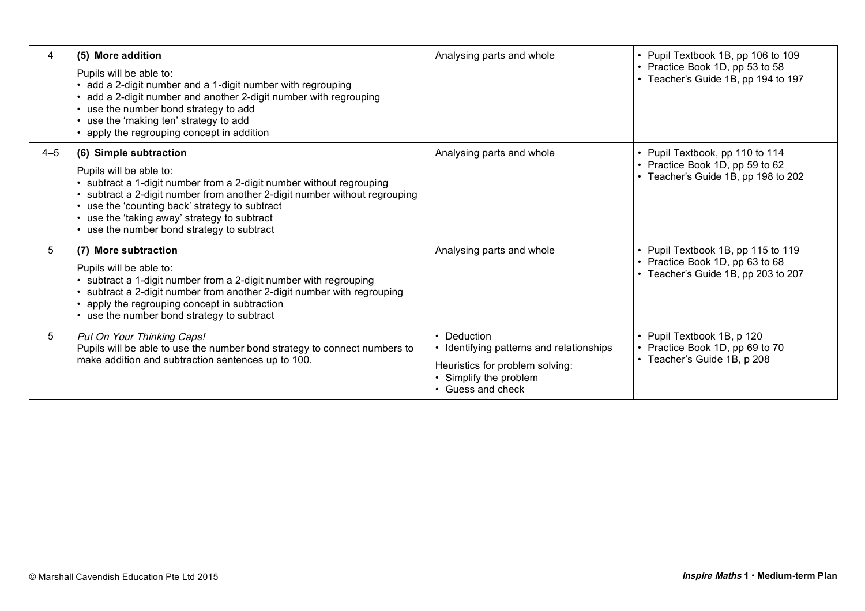| 4       | (5) More addition<br>Pupils will be able to:<br>• add a 2-digit number and a 1-digit number with regrouping<br>• add a 2-digit number and another 2-digit number with regrouping<br>• use the number bond strategy to add<br>• use the 'making ten' strategy to add<br>• apply the regrouping concept in addition                                   | Analysing parts and whole                                                                                                               | • Pupil Textbook 1B, pp 106 to 109<br>• Practice Book 1D, pp 53 to 58<br>• Teacher's Guide 1B, pp 194 to 197 |
|---------|-----------------------------------------------------------------------------------------------------------------------------------------------------------------------------------------------------------------------------------------------------------------------------------------------------------------------------------------------------|-----------------------------------------------------------------------------------------------------------------------------------------|--------------------------------------------------------------------------------------------------------------|
| $4 - 5$ | (6) Simple subtraction<br>Pupils will be able to:<br>subtract a 1-digit number from a 2-digit number without regrouping<br>subtract a 2-digit number from another 2-digit number without regrouping<br>• use the 'counting back' strategy to subtract<br>• use the 'taking away' strategy to subtract<br>• use the number bond strategy to subtract | Analysing parts and whole                                                                                                               | • Pupil Textbook, pp 110 to 114<br>• Practice Book 1D, pp 59 to 62<br>• Teacher's Guide 1B, pp 198 to 202    |
| 5       | (7) More subtraction<br>Pupils will be able to:<br>• subtract a 1-digit number from a 2-digit number with regrouping<br>subtract a 2-digit number from another 2-digit number with regrouping<br>• apply the regrouping concept in subtraction<br>• use the number bond strategy to subtract                                                        | Analysing parts and whole                                                                                                               | • Pupil Textbook 1B, pp 115 to 119<br>• Practice Book 1D, pp 63 to 68<br>• Teacher's Guide 1B, pp 203 to 207 |
| 5       | Put On Your Thinking Caps!<br>Pupils will be able to use the number bond strategy to connect numbers to<br>make addition and subtraction sentences up to 100.                                                                                                                                                                                       | • Deduction<br>• Identifying patterns and relationships<br>Heuristics for problem solving:<br>Simplify the problem<br>• Guess and check | • Pupil Textbook 1B, p 120<br>• Practice Book 1D, pp 69 to 70<br>• Teacher's Guide 1B, p 208                 |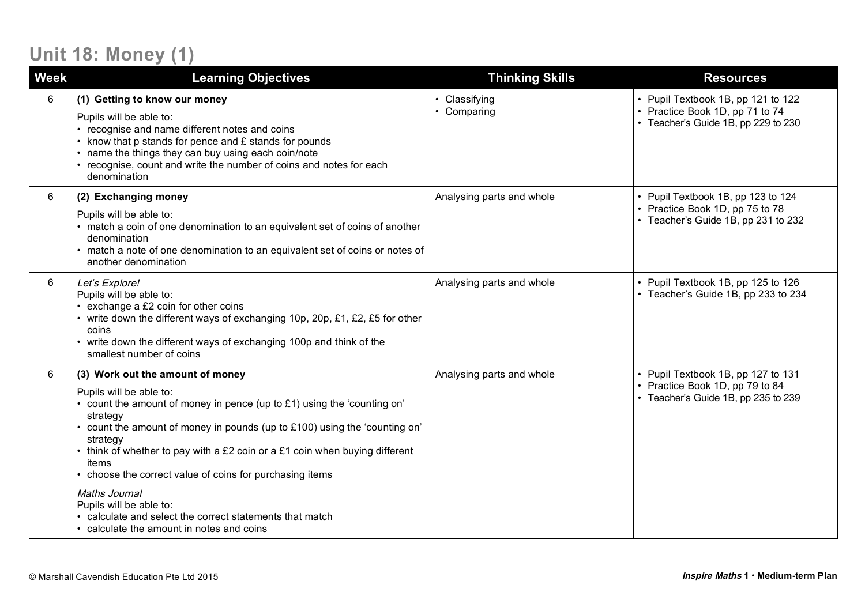# **Unit 18: Money (1)**

| <b>Week</b> | <b>Learning Objectives</b>                                                                                                                                                                                                                                                                                                                                                                                                                                                                                                                      | <b>Thinking Skills</b>     | <b>Resources</b>                                                                                             |
|-------------|-------------------------------------------------------------------------------------------------------------------------------------------------------------------------------------------------------------------------------------------------------------------------------------------------------------------------------------------------------------------------------------------------------------------------------------------------------------------------------------------------------------------------------------------------|----------------------------|--------------------------------------------------------------------------------------------------------------|
| 6           | (1) Getting to know our money<br>Pupils will be able to:<br>recognise and name different notes and coins<br>• know that p stands for pence and £ stands for pounds<br>name the things they can buy using each coin/note<br>• recognise, count and write the number of coins and notes for each<br>denomination                                                                                                                                                                                                                                  | Classifying<br>• Comparing | • Pupil Textbook 1B, pp 121 to 122<br>• Practice Book 1D, pp 71 to 74<br>• Teacher's Guide 1B, pp 229 to 230 |
| 6           | (2) Exchanging money<br>Pupils will be able to:<br>• match a coin of one denomination to an equivalent set of coins of another<br>denomination<br>match a note of one denomination to an equivalent set of coins or notes of<br>another denomination                                                                                                                                                                                                                                                                                            | Analysing parts and whole  | • Pupil Textbook 1B, pp 123 to 124<br>• Practice Book 1D, pp 75 to 78<br>• Teacher's Guide 1B, pp 231 to 232 |
| 6           | Let's Explore!<br>Pupils will be able to:<br>exchange a £2 coin for other coins<br>• write down the different ways of exchanging 10p, 20p, £1, £2, £5 for other<br>coins<br>• write down the different ways of exchanging 100p and think of the<br>smallest number of coins                                                                                                                                                                                                                                                                     | Analysing parts and whole  | • Pupil Textbook 1B, pp 125 to 126<br>• Teacher's Guide 1B, pp 233 to 234                                    |
| 6           | (3) Work out the amount of money<br>Pupils will be able to:<br>• count the amount of money in pence (up to £1) using the 'counting on'<br>strategy<br>count the amount of money in pounds (up to £100) using the 'counting on'<br>strategy<br>think of whether to pay with a £2 coin or a £1 coin when buying different<br>items<br>choose the correct value of coins for purchasing items<br>Maths Journal<br>Pupils will be able to:<br>• calculate and select the correct statements that match<br>• calculate the amount in notes and coins | Analysing parts and whole  | • Pupil Textbook 1B, pp 127 to 131<br>• Practice Book 1D, pp 79 to 84<br>• Teacher's Guide 1B, pp 235 to 239 |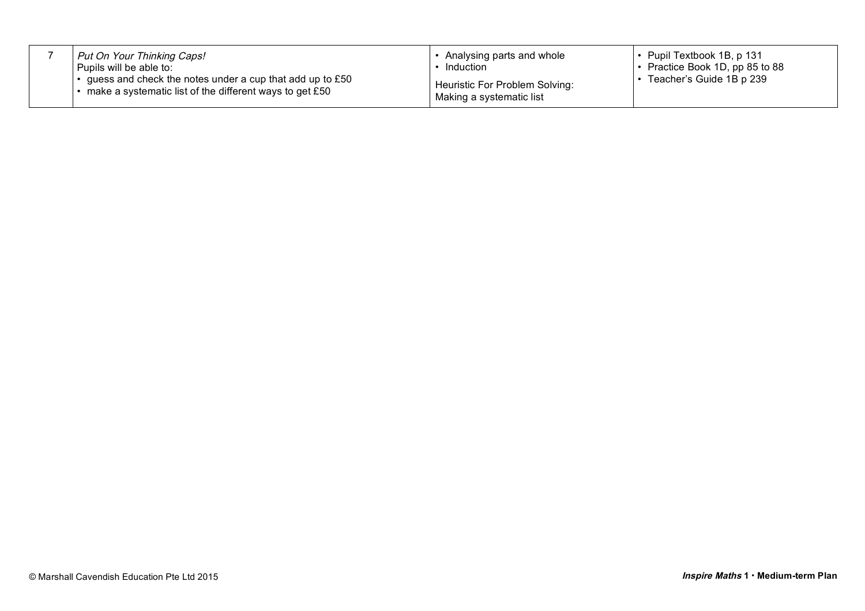| Put On Your Thinking Caps!                                                                                                  | Analysing parts and whole                                  | $\cdot$ Pupil Textbook 1B, p 131      |
|-----------------------------------------------------------------------------------------------------------------------------|------------------------------------------------------------|---------------------------------------|
| Pupils will be able to:                                                                                                     | Induction                                                  | $\cdot$ Practice Book 1D, pp 85 to 88 |
| guess and check the notes under a cup that add up to £50<br>$\cdot$ make a systematic list of the different ways to get £50 | Heuristic For Problem Solving:<br>Making a systematic list |                                       |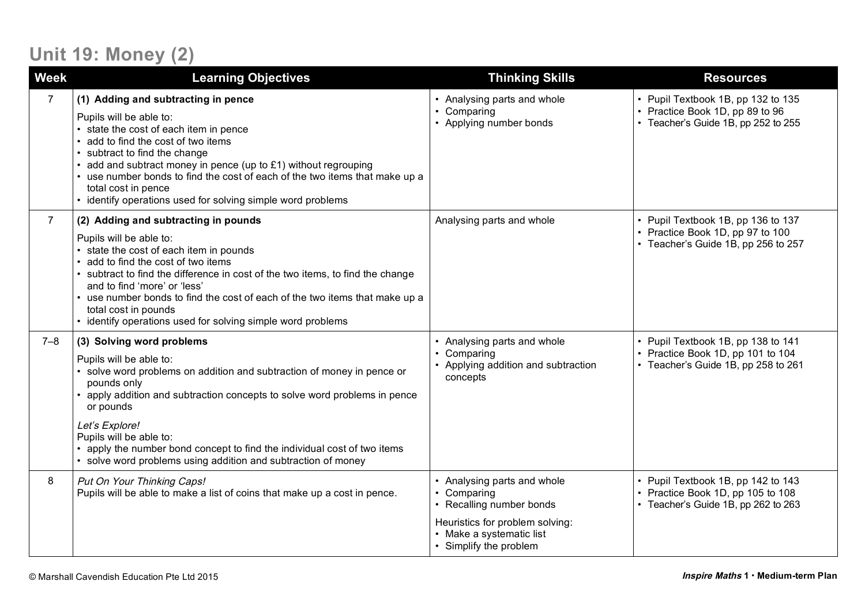# **Unit 19: Money (2)**

| <b>Week</b>    | <b>Learning Objectives</b>                                                                                                                                                                                                                                                                                                                                                                                                              | <b>Thinking Skills</b>                                                                                                                                          | <b>Resources</b>                                                                                               |
|----------------|-----------------------------------------------------------------------------------------------------------------------------------------------------------------------------------------------------------------------------------------------------------------------------------------------------------------------------------------------------------------------------------------------------------------------------------------|-----------------------------------------------------------------------------------------------------------------------------------------------------------------|----------------------------------------------------------------------------------------------------------------|
| $\overline{7}$ | (1) Adding and subtracting in pence<br>Pupils will be able to:<br>• state the cost of each item in pence<br>add to find the cost of two items<br>subtract to find the change<br>add and subtract money in pence (up to £1) without regrouping<br>use number bonds to find the cost of each of the two items that make up a<br>total cost in pence<br>• identify operations used for solving simple word problems                        | Analysing parts and whole<br>• Comparing<br>• Applying number bonds                                                                                             | • Pupil Textbook 1B, pp 132 to 135<br>• Practice Book 1D, pp 89 to 96<br>• Teacher's Guide 1B, pp 252 to 255   |
| $\overline{7}$ | (2) Adding and subtracting in pounds<br>Pupils will be able to:<br>• state the cost of each item in pounds<br>add to find the cost of two items<br>• subtract to find the difference in cost of the two items, to find the change<br>and to find 'more' or 'less'<br>• use number bonds to find the cost of each of the two items that make up a<br>total cost in pounds<br>• identify operations used for solving simple word problems | Analysing parts and whole                                                                                                                                       | • Pupil Textbook 1B, pp 136 to 137<br>• Practice Book 1D, pp 97 to 100<br>• Teacher's Guide 1B, pp 256 to 257  |
| $7 - 8$        | (3) Solving word problems<br>Pupils will be able to:<br>solve word problems on addition and subtraction of money in pence or<br>pounds only<br>apply addition and subtraction concepts to solve word problems in pence<br>or pounds<br>Let's Explore!<br>Pupils will be able to:<br>• apply the number bond concept to find the individual cost of two items<br>• solve word problems using addition and subtraction of money           | Analysing parts and whole<br>Comparing<br>• Applying addition and subtraction<br>concepts                                                                       | • Pupil Textbook 1B, pp 138 to 141<br>• Practice Book 1D, pp 101 to 104<br>• Teacher's Guide 1B, pp 258 to 261 |
| 8              | Put On Your Thinking Caps!<br>Pupils will be able to make a list of coins that make up a cost in pence.                                                                                                                                                                                                                                                                                                                                 | • Analysing parts and whole<br>• Comparing<br>• Recalling number bonds<br>Heuristics for problem solving:<br>• Make a systematic list<br>• Simplify the problem | • Pupil Textbook 1B, pp 142 to 143<br>• Practice Book 1D, pp 105 to 108<br>• Teacher's Guide 1B, pp 262 to 263 |